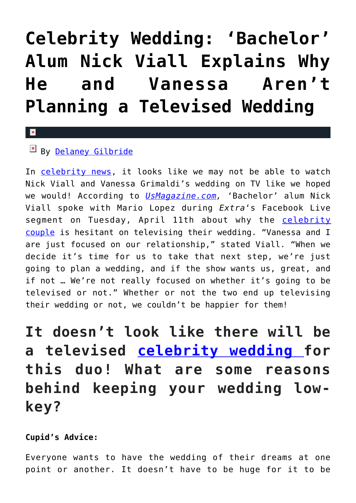## **[Celebrity Wedding: 'Bachelor'](https://cupidspulse.com/117777/bachelor-nick-viall-vanessa-no-televised-celebrity-wedding/) [Alum Nick Viall Explains Why](https://cupidspulse.com/117777/bachelor-nick-viall-vanessa-no-televised-celebrity-wedding/) [He and Vanessa Aren't](https://cupidspulse.com/117777/bachelor-nick-viall-vanessa-no-televised-celebrity-wedding/) [Planning a Televised Wedding](https://cupidspulse.com/117777/bachelor-nick-viall-vanessa-no-televised-celebrity-wedding/)**

## $\mathbf{\overline{x}}$

## By [Delaney Gilbride](http://cupidspulse.com/116956/delaney-gilbride/)

In [celebrity news,](http://cupidspulse.com) it looks like we may not be able to watch Nick Viall and Vanessa Grimaldi's wedding on TV like we hoped we would! According to *[UsMagazine.com](http://www.usmagazine.com/entertainment/news/nick-viall-vanessa-and-i-arent-planning-on-a-tv-wedding-w476264),* 'Bachelor' alum Nick Viall spoke with Mario Lopez during *Extra*'s Facebook Live segment on Tuesday, April 11th about why the [celebrity](http://cupidspulse.com/celebrity-news/celebrity-dating/) [couple](http://cupidspulse.com/celebrity-news/celebrity-dating/) is hesitant on televising their wedding. "Vanessa and I are just focused on our relationship," stated Viall. "When we decide it's time for us to take that next step, we're just going to plan a wedding, and if the show wants us, great, and if not … We're not really focused on whether it's going to be televised or not." Whether or not the two end up televising their wedding or not, we couldn't be happier for them!

**It doesn't look like there will be a televised [celebrity wedding](http://cupidspulse.com/celebrity-news/celebrity-weddings/) for this duo! What are some reasons behind keeping your wedding lowkey?**

## **Cupid's Advice:**

Everyone wants to have the wedding of their dreams at one point or another. It doesn't have to be huge for it to be